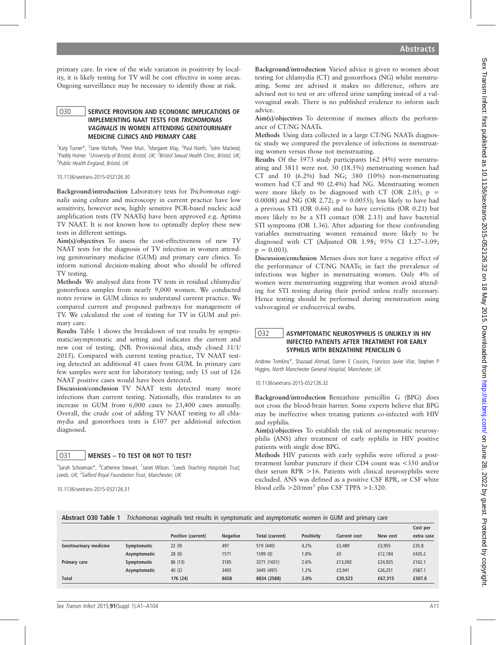Sex Transm Infect: first published as 10.1136/sextrans-2015-052126.32 on 18 May 2015. Downloaded from http://sti.bmj.com/ on June 28, 2022 by guest. Protected by copyright Sex Transm Infect: first published as 10.1136/sextrans. P.1136/sextrans. Published as 2015. 2015. Downloaded from Intp://sti.bm/ Sex Transm Infect: first published as 10.1136/sextrans-20, 2022 by 2015. Downloaded from 18 M

Abstracts

primary care. In view of the wide variation in positivity by locality, it is likely testing for TV will be cost effective in some areas. Ongoing surveillance may be necessary to identify those at risk.

### O30 SERVICE PROVISION AND ECONOMIC IMPLICATIONS OF IMPLEMENTING NAAT TESTS FOR TRICHOMONAS VAGINALIS IN WOMEN ATTENDING GENITOURINARY MEDICINE CLINICS AND PRIMARY CARE

<sup>1</sup>Katy Turner\*, <sup>2</sup>Jane Nicholls, <sup>3</sup>Peter Muir, <sup>1</sup>Margaret May, <sup>2</sup>Paul North, <sup>1</sup>John Macleod, <sup>1</sup>Paddy Horner. <sup>1</sup>University of Bristol, Bristol, UK; <sup>2</sup>Bristol Sexual Health Clinic, Bristol, UK; <sup>3</sup>Public Health England, Bristol, UK

#### 10.1136/sextrans-2015-052126.30

Background/introduction Laboratory tests for Trichomonas vaginalis using culture and microscopy in current practice have low sensitivity, however new, highly sensitive PCR-based nucleic acid amplification tests (TV NAATs) have been approved e.g. Aptima TV NAAT. It is not known how to optimally deploy these new tests in different settings.

Aim(s)/objectives To assess the cost-effectiveness of new TV NAAT tests for the diagnosis of TV infection in women attending genitourinary medicine (GUM) and primary care clinics. To inform national decision-making about who should be offered TV testing.

Methods We analysed data from TV tests in residual chlamydia/ gonorrhoea samples from nearly 9,000 women. We conducted notes review in GUM clinics to understand current practice. We compared current and proposed pathways for management of TV. We calculated the cost of testing for TV in GUM and primary care.

Results Table 1 shows the breakdown of test results by symptomatic/asymptomatic and setting and indicates the current and new cost of testing. (NB. Provisional data, study closed 31/1/ 2015). Compared with current testing practice, TV NAAT testing detected an additional 41 cases from GUM. In primary care few samples were sent for laboratory testing; only 15 out of 126 NAAT positive cases would have been detected.

Discussion/conclusion TV NAAT tests detected many more infections than current testing. Nationally, this translates to an increase in GUM from 6,000 cases to 23,400 cases annually. Overall, the crude cost of adding TV NAAT testing to all chlamydia and gonorrhoea tests is £307 per additional infection diagnosed.

## O31 | MENSES - TO TEST OR NOT TO TEST?

<sup>1</sup>Sarah Schoeman\*, <sup>2</sup>Catherine Stewart, <sup>1</sup>Janet Wilson. <sup>1</sup>Leeds Teaching Hospitals Trust, Leeds, UK; <sup>2</sup>Salford Royal Foundation Trust, Manchester, UK

10.1136/sextrans-2015-052126.31

Background/introduction Varied advice is given to women about testing for chlamydia (CT) and gonorrhoea (NG) whilst menstruating. Some are advised it makes no difference, others are advised not to test or are offered urine sampling instead of a vulvovaginal swab. There is no published evidence to inform such advice.

Aim(s)/objectives To determine if menses affects the performance of CT/NG NAATs.

Methods Using data collected in a large CT/NG NAATs diagnostic study we compared the prevalence of infections in menstruating women versus those not menstruating.

Results Of the 3973 study participants 162 (4%) were menstruating and 3811 were not. 30 (18.5%) menstruating women had CT and 10 (6.2%) had NG; 380 (10%) non-menstruating women had CT and 90 (2.4%) had NG. Menstruating women were more likely to be diagnosed with CT (OR 2.05;  $p =$ 0.0008) and NG (OR 2.72;  $p = 0.0055$ ); less likely to have had a previous STI (OR 0.66) and to have cervicitis (OR 0.21) but more likely to be a STI contact (OR 2.13) and have bacterial STI symptoms (OR 1.36). After adjusting for these confounding variables menstruating women remained more likely to be diagnosed with CT (Adjusted OR 1.98; 95% CI 1.27–3.09;  $p = 0.003$ .

Discussion/conclusion Menses does not have a negative effect of the performance of CT/NG NAATs; in fact the prevalence of infections was higher in menstruating women. Only 4% of women were menstruating suggesting that women avoid attending for STI testing during their period unless really necessary. Hence testing should be performed during menstruation using vulvovaginal or endocervical swabs.

## O32 | ASYMPTOMATIC NEUROSYPHILIS IS UNLIKELY IN HIV INFECTED PATIENTS AFTER TREATMENT FOR EARLY SYPHILIS WITH BENZATHINE PENICILLIN G

Andrew Tomkins\*, Shazaad Ahmad, Darren E Cousins, Francisco Javier Vilar, Stephen P Higgins. North Manchester General Hospital, Manchester, UK

10.1136/sextrans-2015-052126.32

Background/introduction Benzathine penicillin G (BPG) does not cross the blood-brain barrier. Some experts believe that BPG may be ineffective when treating patients co-infected with HIV and syphilis.

Aim(s)/objectives To establish the risk of asymptomatic neurosyphilis (ANS) after treatment of early syphilis in HIV positive patients with single dose BPG.

Methods HIV patients with early syphilis were offered a posttreatment lumbar puncture if their CD4 count was <350 and/or their serum RPR >16. Patients with clinical neurosyphilis were excluded. ANS was defined as a positive CSF RPR, or CSF white blood cells  $>20/mm^3$  plus CSF TPPA  $>1:320$ .

| Abstract 030 Table 1 Trichomonas vaginalis test results in symptomatic and asymptomatic women in GUM and primary care |
|-----------------------------------------------------------------------------------------------------------------------|
|-----------------------------------------------------------------------------------------------------------------------|

|                               |              |                    |                 |                 |                   |                     |          | Cost per   |
|-------------------------------|--------------|--------------------|-----------------|-----------------|-------------------|---------------------|----------|------------|
|                               |              | Positive (current) | <b>Negative</b> | Total (current) | <b>Positivity</b> | <b>Current cost</b> | New cost | extra case |
| <b>Genitourinary medicine</b> | Symptomatic  | 22(9)              | 497             | 519 (440)       | 4.2%              | £3,489              | £3,955   | £35.8      |
|                               | Asymptomatic | 28(0)              | 1571            | 1599 (0)        | 1.8%              | £0                  | £12,184  | £435.2     |
| Primary care                  | Symptomatic  | 86 (13)            | 3185            | 3271 (1651)     | 2.6%              | £13.092             | £24,925  | £162.1     |
|                               | Asymptomatic | 40(2)              | 3405            | 3445 (497)      | 1.2%              | £3,941              | £26,251  | £587.1     |
| <b>Total</b>                  |              | 176 (24)           | 8658            | 8834 (2588)     | 2.0%              | £20,523             | £67,315  | £307.8     |